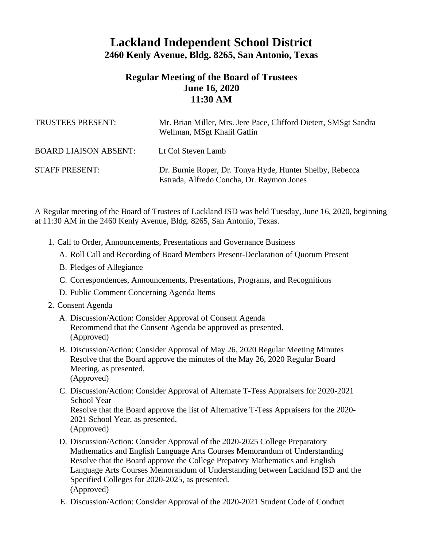## **Lackland Independent School District 2460 Kenly Avenue, Bldg. 8265, San Antonio, Texas**

## **Regular Meeting of the Board of Trustees June 16, 2020 11:30 AM**

| TRUSTEES PRESENT:            | Mr. Brian Miller, Mrs. Jere Pace, Clifford Dietert, SMSgt Sandra<br>Wellman, MSgt Khalil Gatlin       |
|------------------------------|-------------------------------------------------------------------------------------------------------|
| <b>BOARD LIAISON ABSENT:</b> | Lt Col Steven Lamb                                                                                    |
| <b>STAFF PRESENT:</b>        | Dr. Burnie Roper, Dr. Tonya Hyde, Hunter Shelby, Rebecca<br>Estrada, Alfredo Concha, Dr. Raymon Jones |

A Regular meeting of the Board of Trustees of Lackland ISD was held Tuesday, June 16, 2020, beginning at 11:30 AM in the 2460 Kenly Avenue, Bldg. 8265, San Antonio, Texas.

- 1. Call to Order, Announcements, Presentations and Governance Business
	- A. Roll Call and Recording of Board Members Present-Declaration of Quorum Present
	- B. Pledges of Allegiance
	- C. Correspondences, Announcements, Presentations, Programs, and Recognitions
	- D. Public Comment Concerning Agenda Items
- 2. Consent Agenda
	- A. Discussion/Action: Consider Approval of Consent Agenda Recommend that the Consent Agenda be approved as presented. (Approved)
	- B. Discussion/Action: Consider Approval of May 26, 2020 Regular Meeting Minutes Resolve that the Board approve the minutes of the May 26, 2020 Regular Board Meeting, as presented. (Approved)
	- C. Discussion/Action: Consider Approval of Alternate T-Tess Appraisers for 2020-2021 School Year Resolve that the Board approve the list of Alternative T-Tess Appraisers for the 2020- 2021 School Year, as presented. (Approved)
	- D. Discussion/Action: Consider Approval of the 2020-2025 College Preparatory Mathematics and English Language Arts Courses Memorandum of Understanding Resolve that the Board approve the College Prepatory Mathematics and English Language Arts Courses Memorandum of Understanding between Lackland ISD and the Specified Colleges for 2020-2025, as presented. (Approved)
	- E. Discussion/Action: Consider Approval of the 2020-2021 Student Code of Conduct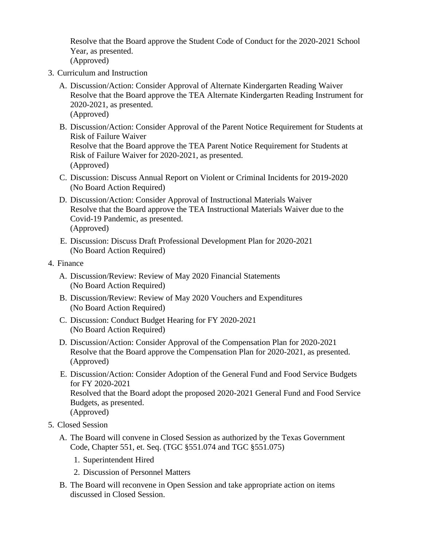Resolve that the Board approve the Student Code of Conduct for the 2020-2021 School Year, as presented. (Approved)

- 3. Curriculum and Instruction
	- A. Discussion/Action: Consider Approval of Alternate Kindergarten Reading Waiver Resolve that the Board approve the TEA Alternate Kindergarten Reading Instrument for 2020-2021, as presented. (Approved)
	- B. Discussion/Action: Consider Approval of the Parent Notice Requirement for Students at Risk of Failure Waiver Resolve that the Board approve the TEA Parent Notice Requirement for Students at Risk of Failure Waiver for 2020-2021, as presented. (Approved)
	- C. Discussion: Discuss Annual Report on Violent or Criminal Incidents for 2019-2020 (No Board Action Required)
	- D. Discussion/Action: Consider Approval of Instructional Materials Waiver Resolve that the Board approve the TEA Instructional Materials Waiver due to the Covid-19 Pandemic, as presented. (Approved)
	- E. Discussion: Discuss Draft Professional Development Plan for 2020-2021 (No Board Action Required)
- 4. Finance
	- A. Discussion/Review: Review of May 2020 Financial Statements (No Board Action Required)
	- B. Discussion/Review: Review of May 2020 Vouchers and Expenditures (No Board Action Required)
	- C. Discussion: Conduct Budget Hearing for FY 2020-2021 (No Board Action Required)
	- D. Discussion/Action: Consider Approval of the Compensation Plan for 2020-2021 Resolve that the Board approve the Compensation Plan for 2020-2021, as presented. (Approved)
	- E. Discussion/Action: Consider Adoption of the General Fund and Food Service Budgets for FY 2020-2021 Resolved that the Board adopt the proposed 2020-2021 General Fund and Food Service Budgets, as presented. (Approved)
- 5. Closed Session
	- A. The Board will convene in Closed Session as authorized by the Texas Government Code, Chapter 551, et. Seq. (TGC §551.074 and TGC §551.075)
		- 1. Superintendent Hired
		- 2. Discussion of Personnel Matters
	- B. The Board will reconvene in Open Session and take appropriate action on items discussed in Closed Session.